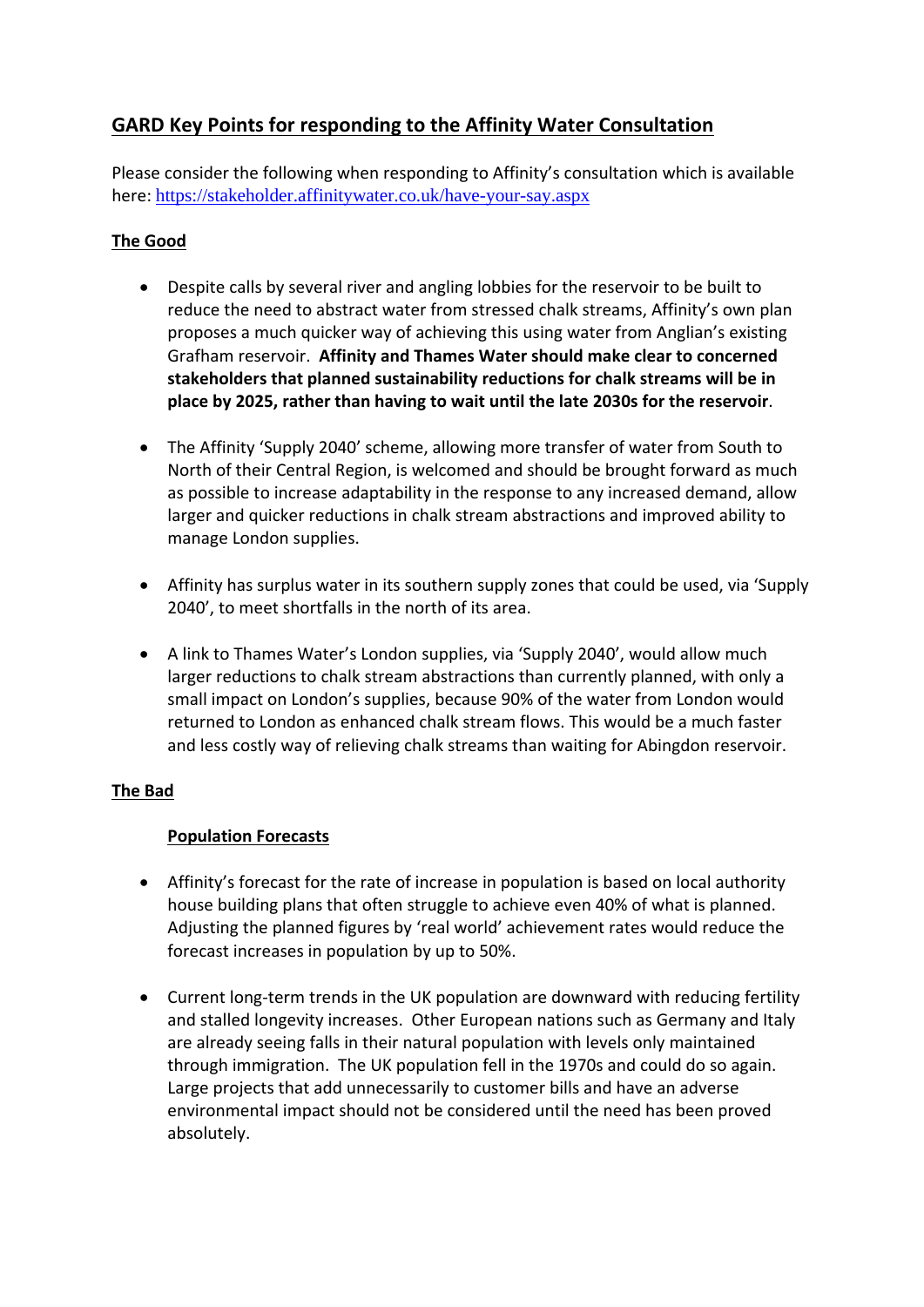# **GARD Key Points for responding to the Affinity Water Consultation**

Please consider the following when responding to Affinity's consultation which is available here: https://stakeholder.affinitywater.co.uk/have-your-say.aspx

# **The Good**

- Despite calls by several river and angling lobbies for the reservoir to be built to reduce the need to abstract water from stressed chalk streams, Affinity's own plan proposes a much quicker way of achieving this using water from Anglian's existing Grafham reservoir. **Affinity and Thames Water should make clear to concerned stakeholders that planned sustainability reductions for chalk streams will be in place by 2025, rather than having to wait until the late 2030s for the reservoir**.
- The Affinity 'Supply 2040' scheme, allowing more transfer of water from South to North of their Central Region, is welcomed and should be brought forward as much as possible to increase adaptability in the response to any increased demand, allow larger and quicker reductions in chalk stream abstractions and improved ability to manage London supplies.
- Affinity has surplus water in its southern supply zones that could be used, via 'Supply 2040', to meet shortfalls in the north of its area.
- A link to Thames Water's London supplies, via 'Supply 2040', would allow much larger reductions to chalk stream abstractions than currently planned, with only a small impact on London's supplies, because 90% of the water from London would returned to London as enhanced chalk stream flows. This would be a much faster and less costly way of relieving chalk streams than waiting for Abingdon reservoir.

## **The Bad**

## **Population Forecasts**

- Affinity's forecast for the rate of increase in population is based on local authority house building plans that often struggle to achieve even 40% of what is planned. Adjusting the planned figures by 'real world' achievement rates would reduce the forecast increases in population by up to 50%.
- Current long-term trends in the UK population are downward with reducing fertility and stalled longevity increases. Other European nations such as Germany and Italy are already seeing falls in their natural population with levels only maintained through immigration. The UK population fell in the 1970s and could do so again. Large projects that add unnecessarily to customer bills and have an adverse environmental impact should not be considered until the need has been proved absolutely.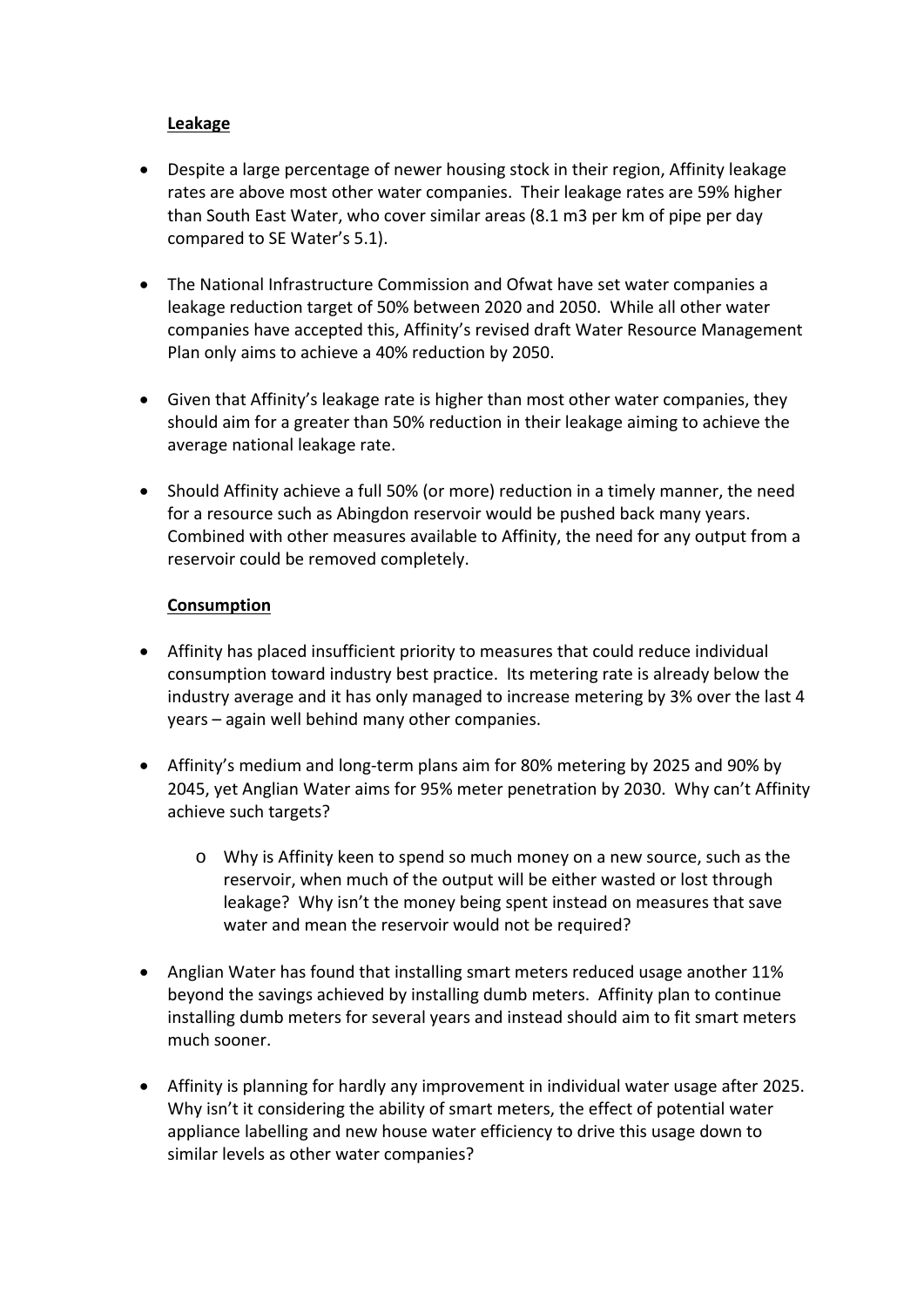#### **Leakage**

- Despite a large percentage of newer housing stock in their region, Affinity leakage rates are above most other water companies. Their leakage rates are 59% higher than South East Water, who cover similar areas (8.1 m3 per km of pipe per day compared to SE Water's 5.1).
- The National Infrastructure Commission and Ofwat have set water companies a leakage reduction target of 50% between 2020 and 2050. While all other water companies have accepted this, Affinity's revised draft Water Resource Management Plan only aims to achieve a 40% reduction by 2050.
- Given that Affinity's leakage rate is higher than most other water companies, they should aim for a greater than 50% reduction in their leakage aiming to achieve the average national leakage rate.
- Should Affinity achieve a full 50% (or more) reduction in a timely manner, the need for a resource such as Abingdon reservoir would be pushed back many years. Combined with other measures available to Affinity, the need for any output from a reservoir could be removed completely.

#### **Consumption**

- Affinity has placed insufficient priority to measures that could reduce individual consumption toward industry best practice. Its metering rate is already below the industry average and it has only managed to increase metering by 3% over the last 4 years – again well behind many other companies.
- Affinity's medium and long‐term plans aim for 80% metering by 2025 and 90% by 2045, yet Anglian Water aims for 95% meter penetration by 2030. Why can't Affinity achieve such targets?
	- o Why is Affinity keen to spend so much money on a new source, such as the reservoir, when much of the output will be either wasted or lost through leakage? Why isn't the money being spent instead on measures that save water and mean the reservoir would not be required?
- Anglian Water has found that installing smart meters reduced usage another 11% beyond the savings achieved by installing dumb meters. Affinity plan to continue installing dumb meters for several years and instead should aim to fit smart meters much sooner.
- Affinity is planning for hardly any improvement in individual water usage after 2025. Why isn't it considering the ability of smart meters, the effect of potential water appliance labelling and new house water efficiency to drive this usage down to similar levels as other water companies?